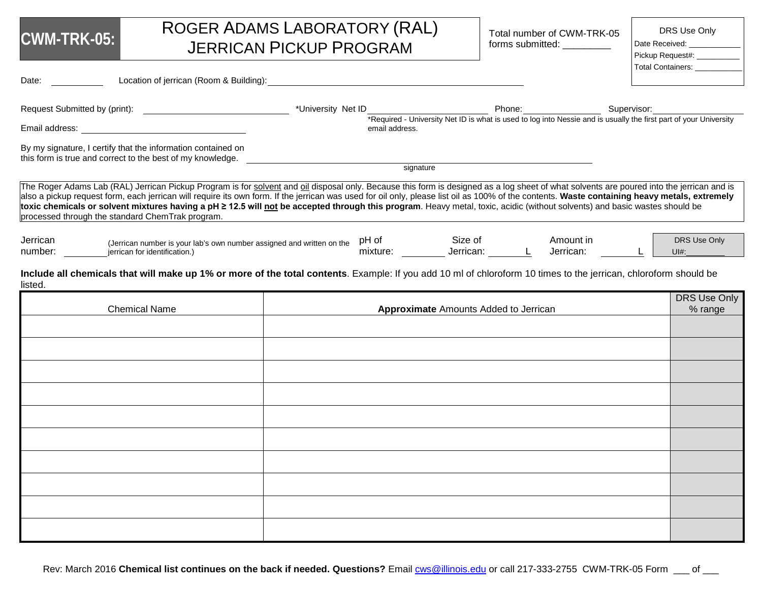| CWM-TRK-05: |  |  |
|-------------|--|--|
|             |  |  |

# ROGER ADAMS LABORATORY (RAL) JERRICAN PICKUP PROGRAM

Total number of CWM-TRK-05 forms submitted: \_\_\_\_\_\_\_\_\_\_

DRS Use Only

Date Received:

| Pickup Request#:         |  |
|--------------------------|--|
| <b>Total Containers:</b> |  |

| Date:               | Location of jerrican (Room & Building):                                                                                                                                                                                                                                                                                                                                                                                                                                                                                                                                                                                      |                    |                |                                                                                                                                                |                        |                         |
|---------------------|------------------------------------------------------------------------------------------------------------------------------------------------------------------------------------------------------------------------------------------------------------------------------------------------------------------------------------------------------------------------------------------------------------------------------------------------------------------------------------------------------------------------------------------------------------------------------------------------------------------------------|--------------------|----------------|------------------------------------------------------------------------------------------------------------------------------------------------|------------------------|-------------------------|
|                     |                                                                                                                                                                                                                                                                                                                                                                                                                                                                                                                                                                                                                              | *University Net ID |                |                                                                                                                                                |                        |                         |
|                     | Email address: The contract of the contract of the contract of the contract of the contract of the contract of the contract of the contract of the contract of the contract of the contract of the contract of the contract of                                                                                                                                                                                                                                                                                                                                                                                               |                    | email address. | Phone: Supervisor: Supervisor: Supervisor: Supervisor: Exercise 2011 The supervisor: Exercise and is usually the first part of your University |                        |                         |
|                     | By my signature, I certify that the information contained on<br>this form is true and correct to the best of my knowledge.                                                                                                                                                                                                                                                                                                                                                                                                                                                                                                   |                    |                |                                                                                                                                                |                        |                         |
|                     |                                                                                                                                                                                                                                                                                                                                                                                                                                                                                                                                                                                                                              |                    |                | signature                                                                                                                                      |                        |                         |
|                     | The Roger Adams Lab (RAL) Jerrican Pickup Program is for solvent and oil disposal only. Because this form is designed as a log sheet of what solvents are poured into the jerrican and is<br>also a pickup request form, each jerrican will require its own form. If the jerrican was used for oil only, please list oil as 100% of the contents. Waste containing heavy metals, extremely<br>toxic chemicals or solvent mixtures having a pH ≥ 12.5 will not be accepted through this program. Heavy metal, toxic, acidic (without solvents) and basic wastes should be<br>processed through the standard ChemTrak program. |                    |                |                                                                                                                                                |                        |                         |
| Jerrican<br>number: | (Jerrican number is your lab's own number assigned and written on the<br>jerrican for identification.)                                                                                                                                                                                                                                                                                                                                                                                                                                                                                                                       |                    | pH of          | Size of                                                                                                                                        | Amount in<br>Jerrican: | DRS Use Only<br>$U #$ : |
| listed.             | Include all chemicals that will make up 1% or more of the total contents. Example: If you add 10 ml of chloroform 10 times to the jerrican, chloroform should be                                                                                                                                                                                                                                                                                                                                                                                                                                                             |                    |                |                                                                                                                                                |                        | DRS Use Only            |
|                     | <b>Chemical Name</b>                                                                                                                                                                                                                                                                                                                                                                                                                                                                                                                                                                                                         |                    |                | <b>Approximate</b> Amounts Added to Jerrican                                                                                                   |                        | % range                 |
|                     |                                                                                                                                                                                                                                                                                                                                                                                                                                                                                                                                                                                                                              |                    |                |                                                                                                                                                |                        |                         |
|                     |                                                                                                                                                                                                                                                                                                                                                                                                                                                                                                                                                                                                                              |                    |                |                                                                                                                                                |                        |                         |
|                     |                                                                                                                                                                                                                                                                                                                                                                                                                                                                                                                                                                                                                              |                    |                |                                                                                                                                                |                        |                         |
|                     |                                                                                                                                                                                                                                                                                                                                                                                                                                                                                                                                                                                                                              |                    |                |                                                                                                                                                |                        |                         |
|                     |                                                                                                                                                                                                                                                                                                                                                                                                                                                                                                                                                                                                                              |                    |                |                                                                                                                                                |                        |                         |
|                     |                                                                                                                                                                                                                                                                                                                                                                                                                                                                                                                                                                                                                              |                    |                |                                                                                                                                                |                        |                         |
|                     |                                                                                                                                                                                                                                                                                                                                                                                                                                                                                                                                                                                                                              |                    |                |                                                                                                                                                |                        |                         |
|                     |                                                                                                                                                                                                                                                                                                                                                                                                                                                                                                                                                                                                                              |                    |                |                                                                                                                                                |                        |                         |
|                     |                                                                                                                                                                                                                                                                                                                                                                                                                                                                                                                                                                                                                              |                    |                |                                                                                                                                                |                        |                         |
|                     |                                                                                                                                                                                                                                                                                                                                                                                                                                                                                                                                                                                                                              |                    |                |                                                                                                                                                |                        |                         |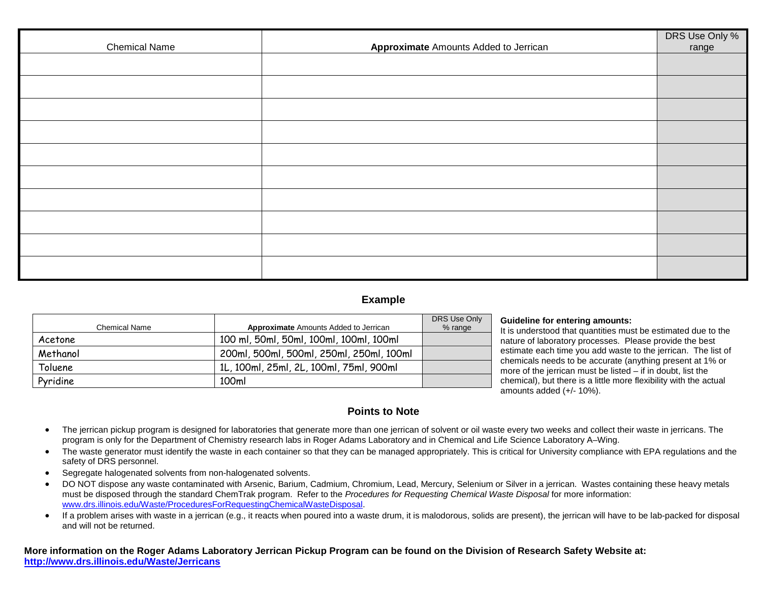| <b>Chemical Name</b> | <b>Approximate Amounts Added to Jerrican</b> | DRS Use Only %<br>range |
|----------------------|----------------------------------------------|-------------------------|
|                      |                                              |                         |
|                      |                                              |                         |
|                      |                                              |                         |
|                      |                                              |                         |
|                      |                                              |                         |
|                      |                                              |                         |
|                      |                                              |                         |
|                      |                                              |                         |
|                      |                                              |                         |
|                      |                                              |                         |

## **Example**

| Chemical Name | <b>Approximate</b> Amounts Added to Jerrican | DRS Use Only |
|---------------|----------------------------------------------|--------------|
|               |                                              | % range      |
| Acetone       | 100 ml, 50ml, 50ml, 100ml, 100ml, 100ml      |              |
| Methanol      | 200ml, 500ml, 500ml, 250ml, 250ml, 100ml     |              |
| Toluene       | 1L, 100ml, 25ml, 2L, 100ml, 75ml, 900ml      |              |
| Pyridine      | 100ml                                        |              |

#### **Guideline for entering amounts:**

It is understood that quantities must be estimated due to the nature of laboratory processes. Please provide the best estimate each time you add waste to the jerrican. The list of chemicals needs to be accurate (anything present at 1% or more of the jerrican must be listed – if in doubt, list the chemical), but there is a little more flexibility with the actual amounts added (+/- 10%).

## **Points to Note**

- The jerrican pickup program is designed for laboratories that generate more than one jerrican of solvent or oil waste every two weeks and collect their waste in jerricans. The program is only for the Department of Chemistry research labs in Roger Adams Laboratory and in Chemical and Life Science Laboratory A–Wing.
- The waste generator must identify the waste in each container so that they can be managed appropriately. This is critical for University compliance with EPA regulations and the safety of DRS personnel.
- Segregate halogenated solvents from non-halogenated solvents.
- DO NOT dispose any waste contaminated with Arsenic, Barium, Cadmium, Chromium, Lead, Mercury, Selenium or Silver in a jerrican. Wastes containing these heavy metals must be disposed through the standard ChemTrak program. Refer to the *Procedures for Requesting Chemical Waste Disposal* for more information: [www.drs.illinois.edu/Waste/ProceduresForRequestingChemicalWasteDisposal.](http://www.drs.illinois.edu/Waste/ProceduresForRequestingChemicalWasteDisposal)
- If a problem arises with waste in a jerrican (e.g., it reacts when poured into a waste drum, it is malodorous, solids are present), the jerrican will have to be lab-packed for disposal and will not be returned.

**More information on the Roger Adams Laboratory Jerrican Pickup Program can be found on the Division of Research Safety Website at: <http://www.drs.illinois.edu/Waste/Jerricans>**